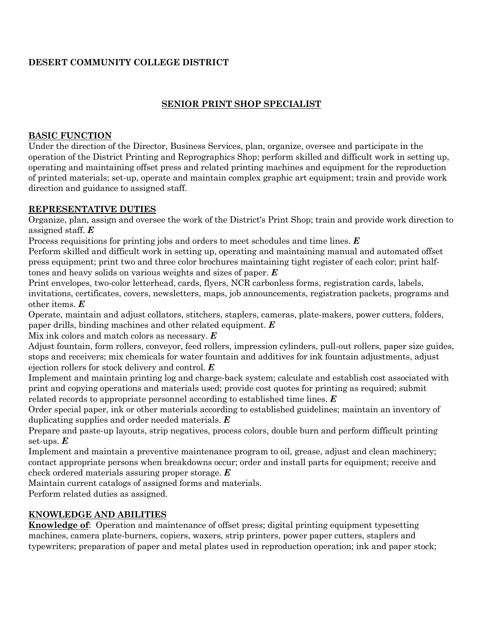# **DESERT COMMUNITY COLLEGE DISTRICT**

# **SENIOR PRINT SHOP SPECIALIST**

### **BASIC FUNCTION**

Under the direction of the Director, Business Services, plan, organize, oversee and participate in the operation of the District Printing and Reprographics Shop; perform skilled and difficult work in setting up, operating and maintaining offset press and related printing machines and equipment for the reproduction of printed materials; set-up, operate and maintain complex graphic art equipment; train and provide work direction and guidance to assigned staff.

### **REPRESENTATIVE DUTIES**

Organize, plan, assign and oversee the work of the District's Print Shop; train and provide work direction to assigned staff. *E*

Process requisitions for printing jobs and orders to meet schedules and time lines. *E*

Perform skilled and difficult work in setting up, operating and maintaining manual and automated offset press equipment; print two and three color brochures maintaining tight register of each color; print halftones and heavy solids on various weights and sizes of paper. *E*

Print envelopes, two-color letterhead, cards, flyers, NCR carbonless forms, registration cards, labels, invitations, certificates, covers, newsletters, maps, job announcements, registration packets, programs and other items. *E*

Operate, maintain and adjust collators, stitchers, staplers, cameras, plate-makers, power cutters, folders, paper drills, binding machines and other related equipment. *E*

Mix ink colors and match colors as necessary. *E*

Adjust fountain, form rollers, conveyor, feed rollers, impression cylinders, pull-out rollers, paper size guides, stops and receivers; mix chemicals for water fountain and additives for ink fountain adjustments, adjust ejection rollers for stock delivery and control. *E*

Implement and maintain printing log and charge-back system; calculate and establish cost associated with print and copying operations and materials used; provide cost quotes for printing as required; submit related records to appropriate personnel according to established time lines. *E*

Order special paper, ink or other materials according to established guidelines; maintain an inventory of duplicating supplies and order needed materials. *E*

Prepare and paste-up layouts, strip negatives, process colors, double burn and perform difficult printing set-ups. *E*

Implement and maintain a preventive maintenance program to oil, grease, adjust and clean machinery; contact appropriate persons when breakdowns occur; order and install parts for equipment; receive and check ordered materials assuring proper storage. *E*

Maintain current catalogs of assigned forms and materials.

Perform related duties as assigned.

# **KNOWLEDGE AND ABILITIES**

**Knowledge of**: Operation and maintenance of offset press; digital printing equipment typesetting machines, camera plate-burners, copiers, waxers, strip printers, power paper cutters, staplers and typewriters; preparation of paper and metal plates used in reproduction operation; ink and paper stock;